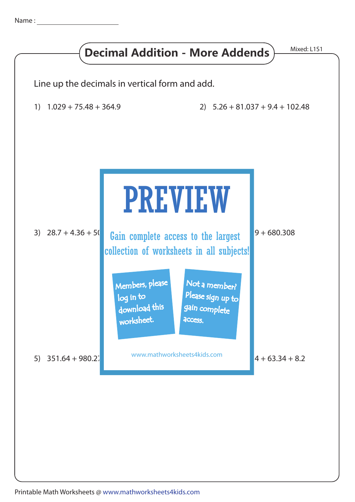